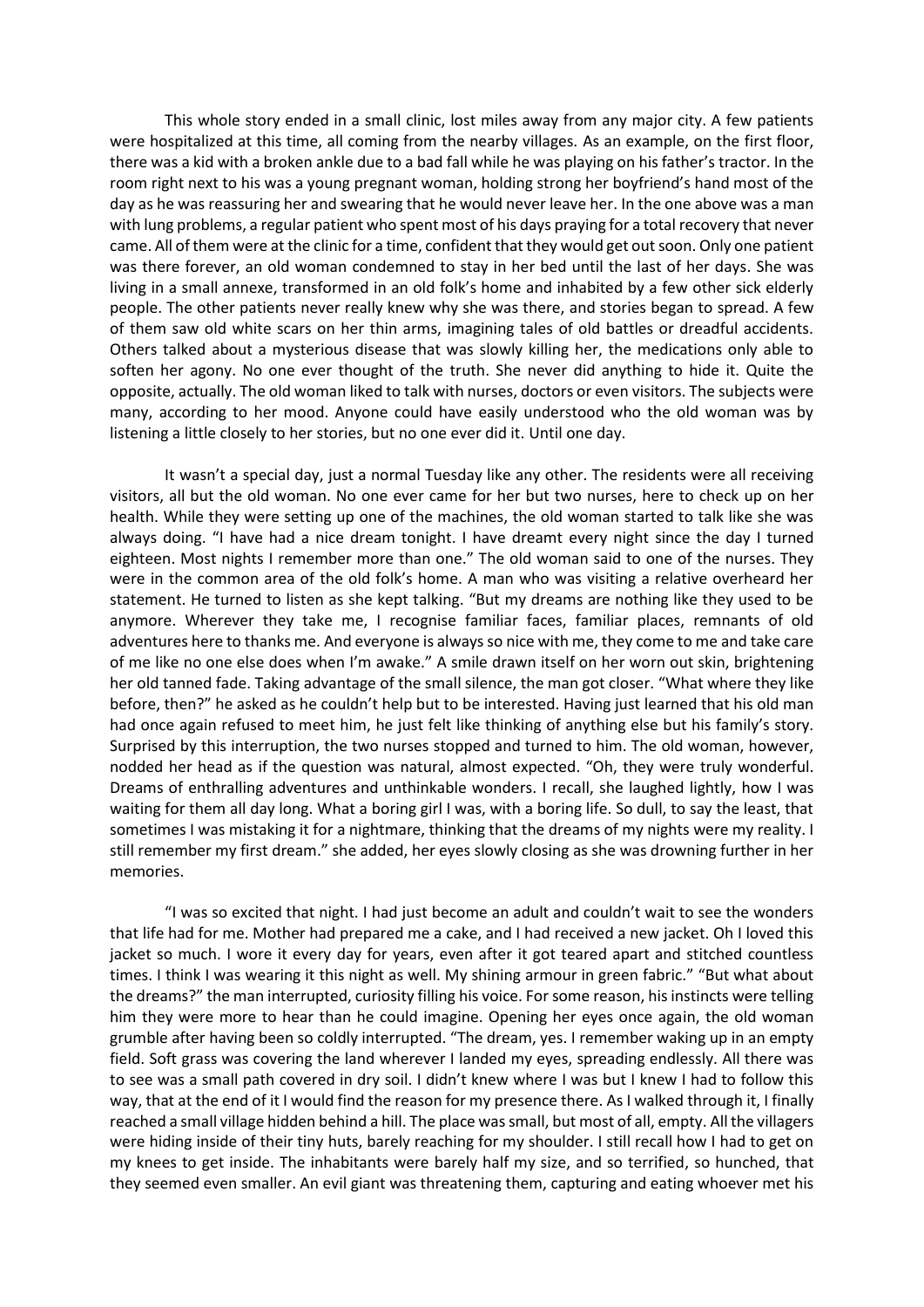This whole story ended in a small clinic, lost miles away from any major city. A few patients were hospitalized at this time, all coming from the nearby villages. As an example, on the first floor, there was a kid with a broken ankle due to a bad fall while he was playing on his father's tractor. In the room right next to his was a young pregnant woman, holding strong her boyfriend's hand most of the day as he was reassuring her and swearing that he would never leave her. In the one above was a man with lung problems, a regular patient who spent most of his days praying for a total recovery that never came. All of them were at the clinic for a time, confident that they would get out soon. Only one patient was there forever, an old woman condemned to stay in her bed until the last of her days. She was living in a small annexe, transformed in an old folk's home and inhabited by a few other sick elderly people. The other patients never really knew why she was there, and stories began to spread. A few of them saw old white scars on her thin arms, imagining tales of old battles or dreadful accidents. Others talked about a mysterious disease that was slowly killing her, the medications only able to soften her agony. No one ever thought of the truth. She never did anything to hide it. Quite the opposite, actually. The old woman liked to talk with nurses, doctors or even visitors. The subjects were many, according to her mood. Anyone could have easily understood who the old woman was by listening a little closely to her stories, but no one ever did it. Until one day.

It wasn't a special day, just a normal Tuesday like any other. The residents were all receiving visitors, all but the old woman. No one ever came for her but two nurses, here to check up on her health. While they were setting up one of the machines, the old woman started to talk like she was always doing. "I have had a nice dream tonight. I have dreamt every night since the day I turned eighteen. Most nights I remember more than one." The old woman said to one of the nurses. They were in the common area of the old folk's home. A man who was visiting a relative overheard her statement. He turned to listen as she kept talking. "But my dreams are nothing like they used to be anymore. Wherever they take me, I recognise familiar faces, familiar places, remnants of old adventures here to thanks me. And everyone is always so nice with me, they come to me and take care of me like no one else does when I'm awake." A smile drawn itself on her worn out skin, brightening her old tanned fade. Taking advantage of the small silence, the man got closer. "What where they like before, then?" he asked as he couldn't help but to be interested. Having just learned that his old man had once again refused to meet him, he just felt like thinking of anything else but his family's story. Surprised by this interruption, the two nurses stopped and turned to him. The old woman, however, nodded her head as if the question was natural, almost expected. "Oh, they were truly wonderful. Dreams of enthralling adventures and unthinkable wonders. I recall, she laughed lightly, how I was waiting for them all day long. What a boring girl I was, with a boring life. So dull, to say the least, that sometimes I was mistaking it for a nightmare, thinking that the dreams of my nights were my reality. I still remember my first dream." she added, her eyes slowly closing as she was drowning further in her memories.

"I was so excited that night. I had just become an adult and couldn't wait to see the wonders that life had for me. Mother had prepared me a cake, and I had received a new jacket. Oh I loved this jacket so much. I wore it every day for years, even after it got teared apart and stitched countless times. I think I was wearing it this night as well. My shining armour in green fabric." "But what about the dreams?" the man interrupted, curiosity filling his voice. For some reason, his instincts were telling him they were more to hear than he could imagine. Opening her eyes once again, the old woman grumble after having been so coldly interrupted. "The dream, yes. I remember waking up in an empty field. Soft grass was covering the land wherever I landed my eyes, spreading endlessly. All there was to see was a small path covered in dry soil. I didn't knew where I was but I knew I had to follow this way, that at the end of it I would find the reason for my presence there. As I walked through it, I finally reached a small village hidden behind a hill. The place was small, but most of all, empty. All the villagers were hiding inside of their tiny huts, barely reaching for my shoulder. I still recall how I had to get on my knees to get inside. The inhabitants were barely half my size, and so terrified, so hunched, that they seemed even smaller. An evil giant was threatening them, capturing and eating whoever met his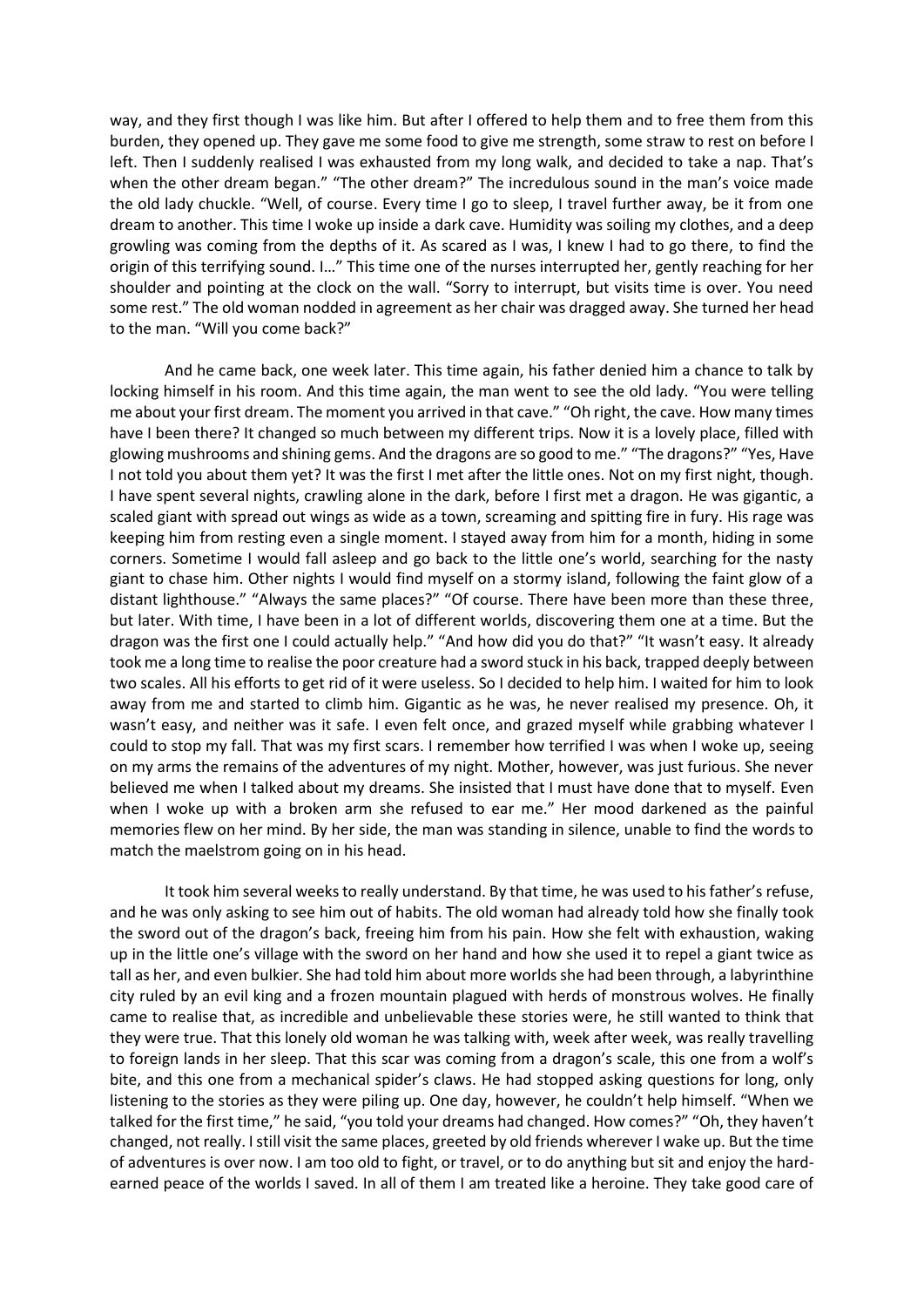way, and they first though I was like him. But after I offered to help them and to free them from this burden, they opened up. They gave me some food to give me strength, some straw to rest on before I left. Then I suddenly realised I was exhausted from my long walk, and decided to take a nap. That's when the other dream began." "The other dream?" The incredulous sound in the man's voice made the old lady chuckle. "Well, of course. Every time I go to sleep, I travel further away, be it from one dream to another. This time I woke up inside a dark cave. Humidity was soiling my clothes, and a deep growling was coming from the depths of it. As scared as I was, I knew I had to go there, to find the origin of this terrifying sound. I…" This time one of the nurses interrupted her, gently reaching for her shoulder and pointing at the clock on the wall. "Sorry to interrupt, but visits time is over. You need some rest." The old woman nodded in agreement as her chair was dragged away. She turned her head to the man. "Will you come back?"

And he came back, one week later. This time again, his father denied him a chance to talk by locking himself in his room. And this time again, the man went to see the old lady. "You were telling me about your first dream. The moment you arrived in that cave." "Oh right, the cave. How many times have I been there? It changed so much between my different trips. Now it is a lovely place, filled with glowing mushrooms and shining gems. And the dragons are so good to me." "The dragons?" "Yes, Have I not told you about them yet? It was the first I met after the little ones. Not on my first night, though. I have spent several nights, crawling alone in the dark, before I first met a dragon. He was gigantic, a scaled giant with spread out wings as wide as a town, screaming and spitting fire in fury. His rage was keeping him from resting even a single moment. I stayed away from him for a month, hiding in some corners. Sometime I would fall asleep and go back to the little one's world, searching for the nasty giant to chase him. Other nights I would find myself on a stormy island, following the faint glow of a distant lighthouse." "Always the same places?" "Of course. There have been more than these three, but later. With time, I have been in a lot of different worlds, discovering them one at a time. But the dragon was the first one I could actually help." "And how did you do that?" "It wasn't easy. It already took me a long time to realise the poor creature had a sword stuck in his back, trapped deeply between two scales. All his efforts to get rid of it were useless. So I decided to help him. I waited for him to look away from me and started to climb him. Gigantic as he was, he never realised my presence. Oh, it wasn't easy, and neither was it safe. I even felt once, and grazed myself while grabbing whatever I could to stop my fall. That was my first scars. I remember how terrified I was when I woke up, seeing on my arms the remains of the adventures of my night. Mother, however, was just furious. She never believed me when I talked about my dreams. She insisted that I must have done that to myself. Even when I woke up with a broken arm she refused to ear me." Her mood darkened as the painful memories flew on her mind. By her side, the man was standing in silence, unable to find the words to match the maelstrom going on in his head.

It took him several weeks to really understand. By that time, he was used to his father's refuse, and he was only asking to see him out of habits. The old woman had already told how she finally took the sword out of the dragon's back, freeing him from his pain. How she felt with exhaustion, waking up in the little one's village with the sword on her hand and how she used it to repel a giant twice as tall as her, and even bulkier. She had told him about more worlds she had been through, a labyrinthine city ruled by an evil king and a frozen mountain plagued with herds of monstrous wolves. He finally came to realise that, as incredible and unbelievable these stories were, he still wanted to think that they were true. That this lonely old woman he was talking with, week after week, was really travelling to foreign lands in her sleep. That this scar was coming from a dragon's scale, this one from a wolf's bite, and this one from a mechanical spider's claws. He had stopped asking questions for long, only listening to the stories as they were piling up. One day, however, he couldn't help himself. "When we talked for the first time," he said, "you told your dreams had changed. How comes?" "Oh, they haven't changed, not really. I still visit the same places, greeted by old friends wherever I wake up. But the time of adventures is over now. I am too old to fight, or travel, or to do anything but sit and enjoy the hardearned peace of the worlds I saved. In all of them I am treated like a heroine. They take good care of